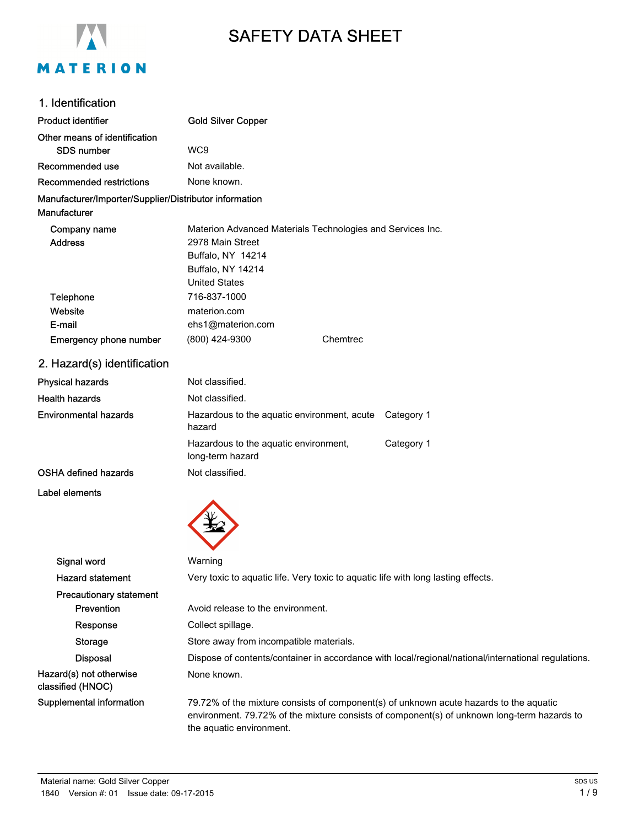

# SAFETY DATA SHEET

# 1. Identification

| Product identifier                                     | <b>Gold Silver Copper</b>                                                                                                                                                                                         |  |  |
|--------------------------------------------------------|-------------------------------------------------------------------------------------------------------------------------------------------------------------------------------------------------------------------|--|--|
| Other means of identification                          |                                                                                                                                                                                                                   |  |  |
| <b>SDS number</b>                                      | WC <sub>9</sub>                                                                                                                                                                                                   |  |  |
| Recommended use                                        | Not available.                                                                                                                                                                                                    |  |  |
| <b>Recommended restrictions</b>                        | None known.                                                                                                                                                                                                       |  |  |
| Manufacturer/Importer/Supplier/Distributor information |                                                                                                                                                                                                                   |  |  |
| Manufacturer                                           |                                                                                                                                                                                                                   |  |  |
| Company name                                           | Materion Advanced Materials Technologies and Services Inc.                                                                                                                                                        |  |  |
| <b>Address</b>                                         | 2978 Main Street                                                                                                                                                                                                  |  |  |
|                                                        | Buffalo, NY 14214                                                                                                                                                                                                 |  |  |
|                                                        | Buffalo, NY 14214<br><b>United States</b>                                                                                                                                                                         |  |  |
| Telephone                                              | 716-837-1000                                                                                                                                                                                                      |  |  |
| Website                                                | materion.com                                                                                                                                                                                                      |  |  |
| E-mail                                                 | ehs1@materion.com                                                                                                                                                                                                 |  |  |
| Emergency phone number                                 | (800) 424-9300<br>Chemtrec                                                                                                                                                                                        |  |  |
| 2. Hazard(s) identification                            |                                                                                                                                                                                                                   |  |  |
| <b>Physical hazards</b>                                | Not classified.                                                                                                                                                                                                   |  |  |
| <b>Health hazards</b>                                  | Not classified.                                                                                                                                                                                                   |  |  |
| <b>Environmental hazards</b>                           | Category 1<br>Hazardous to the aquatic environment, acute<br>hazard                                                                                                                                               |  |  |
|                                                        | Hazardous to the aquatic environment,<br>Category 1<br>long-term hazard                                                                                                                                           |  |  |
| <b>OSHA defined hazards</b>                            | Not classified.                                                                                                                                                                                                   |  |  |
| Label elements                                         |                                                                                                                                                                                                                   |  |  |
|                                                        |                                                                                                                                                                                                                   |  |  |
| Signal word                                            | Warning                                                                                                                                                                                                           |  |  |
| <b>Hazard statement</b>                                | Very toxic to aquatic life. Very toxic to aquatic life with long lasting effects.                                                                                                                                 |  |  |
| <b>Precautionary statement</b>                         |                                                                                                                                                                                                                   |  |  |
| Prevention                                             | Avoid release to the environment.                                                                                                                                                                                 |  |  |
| Response                                               | Collect spillage.                                                                                                                                                                                                 |  |  |
| Storage                                                | Store away from incompatible materials.                                                                                                                                                                           |  |  |
| <b>Disposal</b>                                        | Dispose of contents/container in accordance with local/regional/national/international regulations.                                                                                                               |  |  |
| Hazard(s) not otherwise<br>classified (HNOC)           | None known.                                                                                                                                                                                                       |  |  |
| Supplemental information                               | 79.72% of the mixture consists of component(s) of unknown acute hazards to the aquatic<br>environment. 79.72% of the mixture consists of component(s) of unknown long-term hazards to<br>the aquatic environment. |  |  |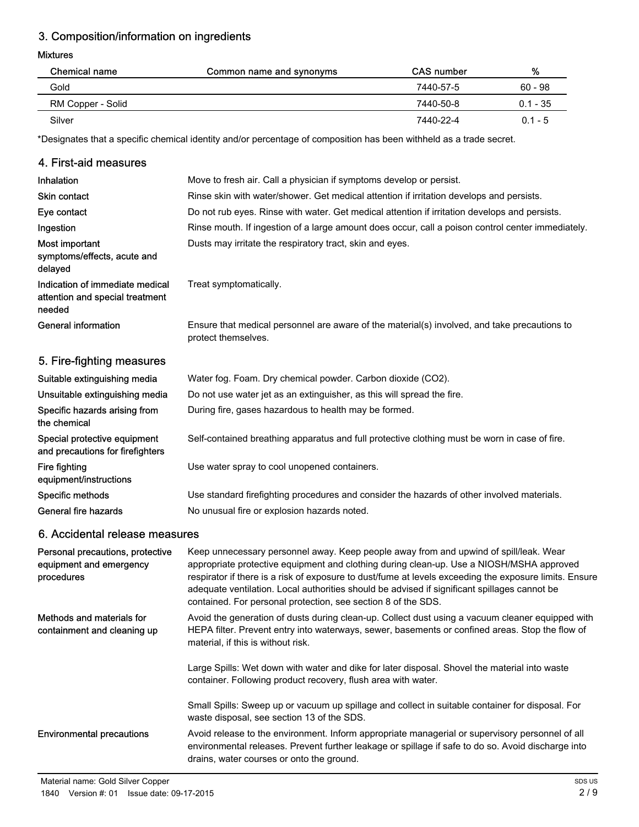# 3. Composition/information on ingredients

#### Mixtures

| Chemical name     | Common name and synonyms | <b>CAS</b> number | %          |
|-------------------|--------------------------|-------------------|------------|
| Gold              |                          | 7440-57-5         | $60 - 98$  |
| RM Copper - Solid |                          | 7440-50-8         | $0.1 - 35$ |
| Silver            |                          | 7440-22-4         | $0.1 - 5$  |

\*Designates that a specific chemical identity and/or percentage of composition has been withheld as a trade secret.

## 4. First-aid measures

| Inhalation                                                                   | Move to fresh air. Call a physician if symptoms develop or persist.                                                                                                                                                                                                                                                                                                                                                                                          |
|------------------------------------------------------------------------------|--------------------------------------------------------------------------------------------------------------------------------------------------------------------------------------------------------------------------------------------------------------------------------------------------------------------------------------------------------------------------------------------------------------------------------------------------------------|
| <b>Skin contact</b>                                                          | Rinse skin with water/shower. Get medical attention if irritation develops and persists.                                                                                                                                                                                                                                                                                                                                                                     |
| Eye contact                                                                  | Do not rub eyes. Rinse with water. Get medical attention if irritation develops and persists.                                                                                                                                                                                                                                                                                                                                                                |
| Ingestion                                                                    | Rinse mouth. If ingestion of a large amount does occur, call a poison control center immediately.                                                                                                                                                                                                                                                                                                                                                            |
| Most important<br>symptoms/effects, acute and<br>delayed                     | Dusts may irritate the respiratory tract, skin and eyes.                                                                                                                                                                                                                                                                                                                                                                                                     |
| Indication of immediate medical<br>attention and special treatment<br>needed | Treat symptomatically.                                                                                                                                                                                                                                                                                                                                                                                                                                       |
| <b>General information</b>                                                   | Ensure that medical personnel are aware of the material(s) involved, and take precautions to<br>protect themselves.                                                                                                                                                                                                                                                                                                                                          |
| 5. Fire-fighting measures                                                    |                                                                                                                                                                                                                                                                                                                                                                                                                                                              |
| Suitable extinguishing media                                                 | Water fog. Foam. Dry chemical powder. Carbon dioxide (CO2).                                                                                                                                                                                                                                                                                                                                                                                                  |
| Unsuitable extinguishing media                                               | Do not use water jet as an extinguisher, as this will spread the fire.                                                                                                                                                                                                                                                                                                                                                                                       |
| Specific hazards arising from<br>the chemical                                | During fire, gases hazardous to health may be formed.                                                                                                                                                                                                                                                                                                                                                                                                        |
| Special protective equipment<br>and precautions for firefighters             | Self-contained breathing apparatus and full protective clothing must be worn in case of fire.                                                                                                                                                                                                                                                                                                                                                                |
| Fire fighting<br>equipment/instructions                                      | Use water spray to cool unopened containers.                                                                                                                                                                                                                                                                                                                                                                                                                 |
| Specific methods                                                             | Use standard firefighting procedures and consider the hazards of other involved materials.                                                                                                                                                                                                                                                                                                                                                                   |
| <b>General fire hazards</b>                                                  | No unusual fire or explosion hazards noted.                                                                                                                                                                                                                                                                                                                                                                                                                  |
| 6. Accidental release measures                                               |                                                                                                                                                                                                                                                                                                                                                                                                                                                              |
| Personal precautions, protective<br>equipment and emergency<br>procedures    | Keep unnecessary personnel away. Keep people away from and upwind of spill/leak. Wear<br>appropriate protective equipment and clothing during clean-up. Use a NIOSH/MSHA approved<br>respirator if there is a risk of exposure to dust/fume at levels exceeding the exposure limits. Ensure<br>adequate ventilation. Local authorities should be advised if significant spillages cannot be<br>contained. For personal protection, see section 8 of the SDS. |
| Methods and materials for<br>containment and cleaning up                     | Avoid the generation of dusts during clean-up. Collect dust using a vacuum cleaner equipped with<br>HEPA filter. Prevent entry into waterways, sewer, basements or confined areas. Stop the flow of<br>material, if this is without risk.                                                                                                                                                                                                                    |

Large Spills: Wet down with water and dike for later disposal. Shovel the material into waste container. Following product recovery, flush area with water.

Small Spills: Sweep up or vacuum up spillage and collect in suitable container for disposal. For waste disposal, see section 13 of the SDS.

Avoid release to the environment. Inform appropriate managerial or supervisory personnel of all environmental releases. Prevent further leakage or spillage if safe to do so. Avoid discharge into drains, water courses or onto the ground. Environmental precautions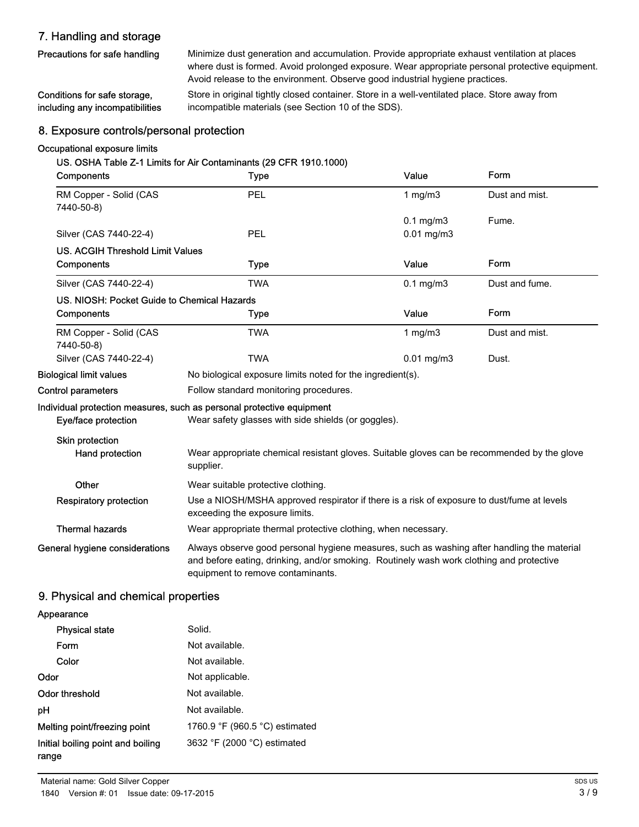# 7. Handling and storage

Precautions for safe handling

Minimize dust generation and accumulation. Provide appropriate exhaust ventilation at places where dust is formed. Avoid prolonged exposure. Wear appropriate personal protective equipment. Avoid release to the environment. Observe good industrial hygiene practices.

Store in original tightly closed container. Store in a well-ventilated place. Store away from incompatible materials (see Section 10 of the SDS). Conditions for safe storage, including any incompatibilities

## 8. Exposure controls/personal protection

## Occupational exposure limits

#### US. OSHA Table Z-1 Limits for Air Contaminants (29 CFR 1910.1000)

| Components                                  | <b>Type</b>                                                                                                                                                                                                                 | Value                 | Form           |  |
|---------------------------------------------|-----------------------------------------------------------------------------------------------------------------------------------------------------------------------------------------------------------------------------|-----------------------|----------------|--|
| RM Copper - Solid (CAS<br>7440-50-8)        | PEL                                                                                                                                                                                                                         | 1 $mg/m3$             | Dust and mist. |  |
|                                             |                                                                                                                                                                                                                             | $0.1$ mg/m $3$        | Fume.          |  |
| Silver (CAS 7440-22-4)                      | PEL                                                                                                                                                                                                                         | $0.01$ mg/m $3$       |                |  |
| <b>US. ACGIH Threshold Limit Values</b>     |                                                                                                                                                                                                                             |                       |                |  |
| Components                                  | <b>Type</b>                                                                                                                                                                                                                 | Value                 | Form           |  |
| Silver (CAS 7440-22-4)                      | <b>TWA</b>                                                                                                                                                                                                                  | $0.1$ mg/m $3$        | Dust and fume. |  |
| US. NIOSH: Pocket Guide to Chemical Hazards |                                                                                                                                                                                                                             |                       |                |  |
| Components                                  | <b>Type</b>                                                                                                                                                                                                                 | Value                 | Form           |  |
| RM Copper - Solid (CAS<br>7440-50-8)        | <b>TWA</b>                                                                                                                                                                                                                  | 1 $mg/m3$             | Dust and mist. |  |
| Silver (CAS 7440-22-4)                      | <b>TWA</b>                                                                                                                                                                                                                  | $0.01 \text{ mg/m}$ 3 | Dust.          |  |
| <b>Biological limit values</b>              | No biological exposure limits noted for the ingredient(s).                                                                                                                                                                  |                       |                |  |
| <b>Control parameters</b>                   | Follow standard monitoring procedures.                                                                                                                                                                                      |                       |                |  |
|                                             | Individual protection measures, such as personal protective equipment                                                                                                                                                       |                       |                |  |
| Eye/face protection                         | Wear safety glasses with side shields (or goggles).                                                                                                                                                                         |                       |                |  |
| Skin protection                             |                                                                                                                                                                                                                             |                       |                |  |
| Hand protection                             | Wear appropriate chemical resistant gloves. Suitable gloves can be recommended by the glove<br>supplier.                                                                                                                    |                       |                |  |
| Other                                       | Wear suitable protective clothing.                                                                                                                                                                                          |                       |                |  |
| <b>Respiratory protection</b>               | Use a NIOSH/MSHA approved respirator if there is a risk of exposure to dust/fume at levels<br>exceeding the exposure limits.                                                                                                |                       |                |  |
| <b>Thermal hazards</b>                      | Wear appropriate thermal protective clothing, when necessary.                                                                                                                                                               |                       |                |  |
| General hygiene considerations              | Always observe good personal hygiene measures, such as washing after handling the material<br>and before eating, drinking, and/or smoking. Routinely wash work clothing and protective<br>equipment to remove contaminants. |                       |                |  |

## 9. Physical and chemical properties

| Appearance                                 |                                                  |
|--------------------------------------------|--------------------------------------------------|
| <b>Physical state</b>                      | Solid.                                           |
| Form                                       | Not available.                                   |
| Color                                      | Not available.                                   |
| Odor                                       | Not applicable.                                  |
| Odor threshold                             | Not available.                                   |
| рH                                         | Not available.                                   |
| Melting point/freezing point               | 1760.9 $\degree$ F (960.5 $\degree$ C) estimated |
| Initial boiling point and boiling<br>range | 3632 °F (2000 °C) estimated                      |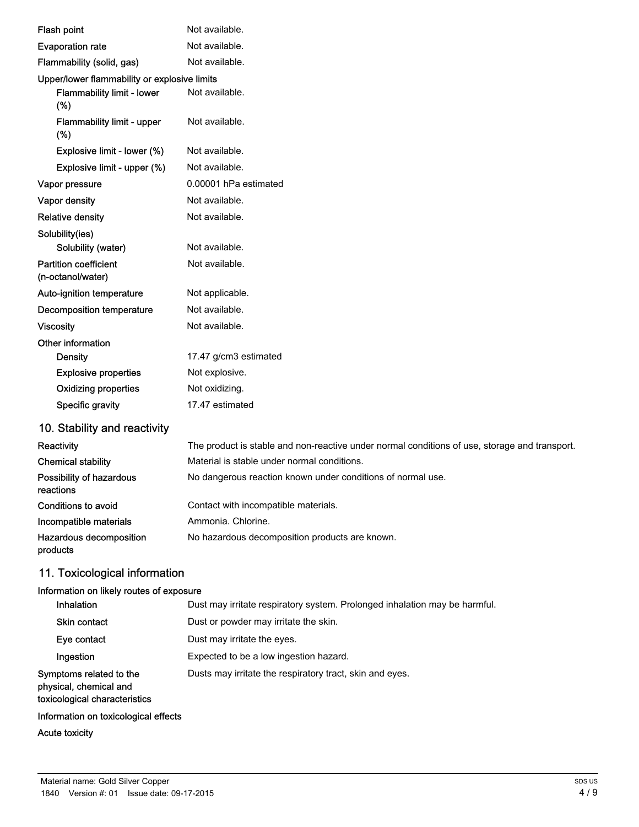| Flash point                                       | Not available.                                                                                |
|---------------------------------------------------|-----------------------------------------------------------------------------------------------|
| <b>Evaporation rate</b>                           | Not available.                                                                                |
| Flammability (solid, gas)                         | Not available.                                                                                |
| Upper/lower flammability or explosive limits      |                                                                                               |
| Flammability limit - lower<br>(%)                 | Not available.                                                                                |
| Flammability limit - upper<br>(%)                 | Not available.                                                                                |
| Explosive limit - lower (%)                       | Not available.                                                                                |
| Explosive limit - upper (%)                       | Not available.                                                                                |
| Vapor pressure                                    | 0.00001 hPa estimated                                                                         |
| Vapor density                                     | Not available.                                                                                |
| <b>Relative density</b>                           | Not available.                                                                                |
| Solubility(ies)                                   |                                                                                               |
| Solubility (water)                                | Not available.                                                                                |
| <b>Partition coefficient</b><br>(n-octanol/water) | Not available.                                                                                |
| Auto-ignition temperature                         | Not applicable.                                                                               |
| <b>Decomposition temperature</b>                  | Not available.                                                                                |
| <b>Viscosity</b>                                  | Not available.                                                                                |
| Other information                                 |                                                                                               |
| Density                                           | 17.47 g/cm3 estimated                                                                         |
| <b>Explosive properties</b>                       | Not explosive.                                                                                |
| <b>Oxidizing properties</b>                       | Not oxidizing.                                                                                |
| Specific gravity                                  | 17.47 estimated                                                                               |
| 10. Stability and reactivity                      |                                                                                               |
| Reactivity                                        | The product is stable and non-reactive under normal conditions of use, storage and transport. |
| <b>Chemical stability</b>                         | Material is stable under normal conditions.                                                   |
| Possibility of hazardous<br>reactions             | No dangerous reaction known under conditions of normal use.                                   |
| <b>Conditions to avoid</b>                        | Contact with incompatible materials.                                                          |
| Incompatible materials                            | Ammonia. Chlorine.                                                                            |
| Hazardous decomposition                           | No hazardous decomposition products are known.                                                |

# 11. Toxicological information

## Information on likely routes of exposure

| Inhalation                                                                         | Dust may irritate respiratory system. Prolonged inhalation may be harmful. |
|------------------------------------------------------------------------------------|----------------------------------------------------------------------------|
| <b>Skin contact</b>                                                                | Dust or powder may irritate the skin.                                      |
| Eye contact                                                                        | Dust may irritate the eyes.                                                |
| Ingestion                                                                          | Expected to be a low ingestion hazard.                                     |
| Symptoms related to the<br>physical, chemical and<br>toxicological characteristics | Dusts may irritate the respiratory tract, skin and eyes.                   |
| Information on toxicological effects                                               |                                                                            |

# Acute toxicity

products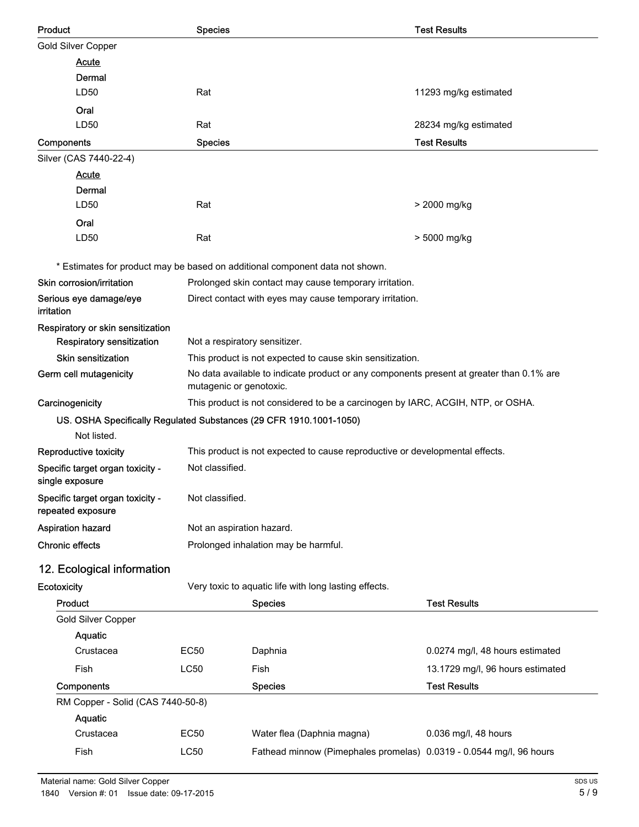| <b>Product</b>                                                     | <b>Species</b>                                                                                                                                        |                                                                                 | <b>Test Results</b>              |
|--------------------------------------------------------------------|-------------------------------------------------------------------------------------------------------------------------------------------------------|---------------------------------------------------------------------------------|----------------------------------|
| <b>Gold Silver Copper</b>                                          |                                                                                                                                                       |                                                                                 |                                  |
| <b>Acute</b>                                                       |                                                                                                                                                       |                                                                                 |                                  |
| Dermal                                                             |                                                                                                                                                       |                                                                                 |                                  |
| LD50                                                               | Rat                                                                                                                                                   |                                                                                 | 11293 mg/kg estimated            |
| Oral                                                               |                                                                                                                                                       |                                                                                 |                                  |
| LD50                                                               | Rat                                                                                                                                                   |                                                                                 | 28234 mg/kg estimated            |
| Components                                                         | <b>Species</b>                                                                                                                                        |                                                                                 | <b>Test Results</b>              |
| Silver (CAS 7440-22-4)                                             |                                                                                                                                                       |                                                                                 |                                  |
| <b>Acute</b>                                                       |                                                                                                                                                       |                                                                                 |                                  |
| Dermal                                                             |                                                                                                                                                       |                                                                                 |                                  |
| LD50                                                               | Rat                                                                                                                                                   |                                                                                 | > 2000 mg/kg                     |
| Oral                                                               |                                                                                                                                                       |                                                                                 |                                  |
| LD50                                                               | Rat                                                                                                                                                   |                                                                                 | > 5000 mg/kg                     |
|                                                                    |                                                                                                                                                       | * Estimates for product may be based on additional component data not shown.    |                                  |
| Skin corrosion/irritation                                          |                                                                                                                                                       | Prolonged skin contact may cause temporary irritation.                          |                                  |
| Serious eye damage/eye<br>irritation                               |                                                                                                                                                       | Direct contact with eyes may cause temporary irritation.                        |                                  |
| Respiratory or skin sensitization                                  |                                                                                                                                                       |                                                                                 |                                  |
| Respiratory sensitization                                          | Not a respiratory sensitizer.                                                                                                                         |                                                                                 |                                  |
| Skin sensitization                                                 | This product is not expected to cause skin sensitization.<br>No data available to indicate product or any components present at greater than 0.1% are |                                                                                 |                                  |
| Germ cell mutagenicity                                             | mutagenic or genotoxic.                                                                                                                               |                                                                                 |                                  |
| Carcinogenicity                                                    |                                                                                                                                                       | This product is not considered to be a carcinogen by IARC, ACGIH, NTP, or OSHA. |                                  |
| US. OSHA Specifically Regulated Substances (29 CFR 1910.1001-1050) |                                                                                                                                                       |                                                                                 |                                  |
| Not listed.                                                        |                                                                                                                                                       |                                                                                 |                                  |
| Reproductive toxicity                                              |                                                                                                                                                       | This product is not expected to cause reproductive or developmental effects.    |                                  |
| Specific target organ toxicity -<br>single exposure                | Not classified.                                                                                                                                       |                                                                                 |                                  |
| Specific target organ toxicity -<br>repeated exposure              | Not classified.                                                                                                                                       |                                                                                 |                                  |
| Aspiration hazard                                                  | Not an aspiration hazard.                                                                                                                             |                                                                                 |                                  |
| <b>Chronic effects</b>                                             | Prolonged inhalation may be harmful.                                                                                                                  |                                                                                 |                                  |
| 12. Ecological information                                         |                                                                                                                                                       |                                                                                 |                                  |
| Ecotoxicity                                                        |                                                                                                                                                       | Very toxic to aquatic life with long lasting effects.                           |                                  |
| Product                                                            |                                                                                                                                                       | <b>Species</b>                                                                  | <b>Test Results</b>              |
| Gold Silver Copper                                                 |                                                                                                                                                       |                                                                                 |                                  |
| Aquatic                                                            |                                                                                                                                                       |                                                                                 |                                  |
| Crustacea                                                          | <b>EC50</b>                                                                                                                                           | Daphnia                                                                         | 0.0274 mg/l, 48 hours estimated  |
| Fish                                                               | <b>LC50</b>                                                                                                                                           | Fish                                                                            | 13.1729 mg/l, 96 hours estimated |
| Components                                                         |                                                                                                                                                       | <b>Species</b>                                                                  | <b>Test Results</b>              |
| RM Copper - Solid (CAS 7440-50-8)                                  |                                                                                                                                                       |                                                                                 |                                  |
| Aquatic                                                            |                                                                                                                                                       |                                                                                 |                                  |
| Crustacea                                                          | <b>EC50</b>                                                                                                                                           | Water flea (Daphnia magna)                                                      | 0.036 mg/l, 48 hours             |
| Fish                                                               | LC50                                                                                                                                                  | Fathead minnow (Pimephales promelas) 0.0319 - 0.0544 mg/l, 96 hours             |                                  |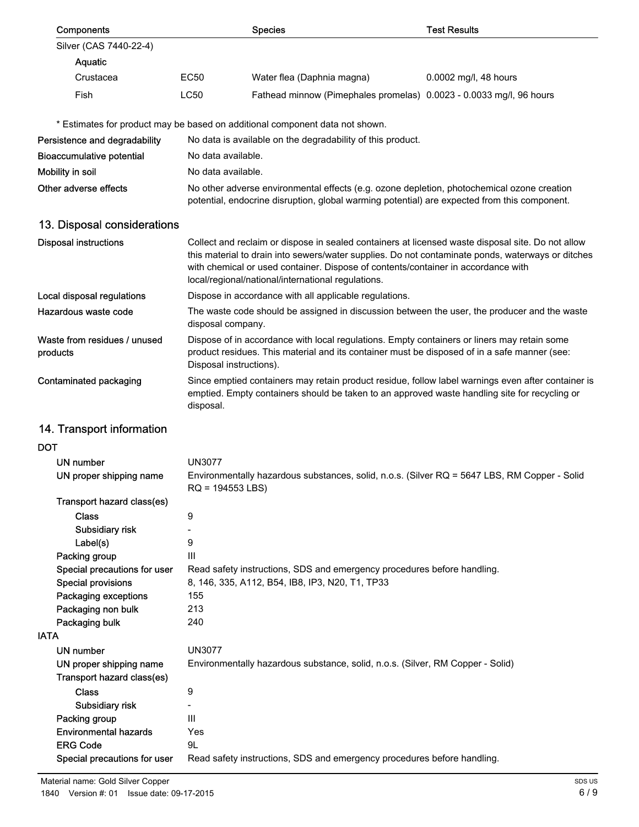| Components                                            |                                                                                                                   | <b>Species</b>                                                                                                                                                                                                                                                                                                                                    | <b>Test Results</b>   |
|-------------------------------------------------------|-------------------------------------------------------------------------------------------------------------------|---------------------------------------------------------------------------------------------------------------------------------------------------------------------------------------------------------------------------------------------------------------------------------------------------------------------------------------------------|-----------------------|
| Silver (CAS 7440-22-4)                                |                                                                                                                   |                                                                                                                                                                                                                                                                                                                                                   |                       |
| Aquatic                                               |                                                                                                                   |                                                                                                                                                                                                                                                                                                                                                   |                       |
| Crustacea                                             | <b>EC50</b>                                                                                                       | Water flea (Daphnia magna)                                                                                                                                                                                                                                                                                                                        | 0.0002 mg/l, 48 hours |
| Fish                                                  | <b>LC50</b>                                                                                                       | Fathead minnow (Pimephales promelas) 0.0023 - 0.0033 mg/l, 96 hours                                                                                                                                                                                                                                                                               |                       |
|                                                       |                                                                                                                   |                                                                                                                                                                                                                                                                                                                                                   |                       |
|                                                       |                                                                                                                   | * Estimates for product may be based on additional component data not shown.                                                                                                                                                                                                                                                                      |                       |
| Persistence and degradability                         |                                                                                                                   | No data is available on the degradability of this product.                                                                                                                                                                                                                                                                                        |                       |
| <b>Bioaccumulative potential</b>                      | No data available.                                                                                                |                                                                                                                                                                                                                                                                                                                                                   |                       |
| Mobility in soil                                      | No data available.                                                                                                |                                                                                                                                                                                                                                                                                                                                                   |                       |
| Other adverse effects                                 |                                                                                                                   | No other adverse environmental effects (e.g. ozone depletion, photochemical ozone creation<br>potential, endocrine disruption, global warming potential) are expected from this component.                                                                                                                                                        |                       |
| 13. Disposal considerations                           |                                                                                                                   |                                                                                                                                                                                                                                                                                                                                                   |                       |
| <b>Disposal instructions</b>                          |                                                                                                                   | Collect and reclaim or dispose in sealed containers at licensed waste disposal site. Do not allow<br>this material to drain into sewers/water supplies. Do not contaminate ponds, waterways or ditches<br>with chemical or used container. Dispose of contents/container in accordance with<br>local/regional/national/international regulations. |                       |
| Local disposal regulations                            |                                                                                                                   | Dispose in accordance with all applicable regulations.                                                                                                                                                                                                                                                                                            |                       |
| Hazardous waste code                                  | The waste code should be assigned in discussion between the user, the producer and the waste<br>disposal company. |                                                                                                                                                                                                                                                                                                                                                   |                       |
| Waste from residues / unused<br>products              | Disposal instructions).                                                                                           | Dispose of in accordance with local regulations. Empty containers or liners may retain some<br>product residues. This material and its container must be disposed of in a safe manner (see:                                                                                                                                                       |                       |
| Contaminated packaging                                | disposal.                                                                                                         | Since emptied containers may retain product residue, follow label warnings even after container is<br>emptied. Empty containers should be taken to an approved waste handling site for recycling or                                                                                                                                               |                       |
| 14. Transport information                             |                                                                                                                   |                                                                                                                                                                                                                                                                                                                                                   |                       |
| DOT                                                   |                                                                                                                   |                                                                                                                                                                                                                                                                                                                                                   |                       |
| <b>UN number</b>                                      | <b>UN3077</b>                                                                                                     |                                                                                                                                                                                                                                                                                                                                                   |                       |
| UN proper shipping name                               | $RQ = 194553$ LBS)                                                                                                | Environmentally hazardous substances, solid, n.o.s. (Silver RQ = 5647 LBS, RM Copper - Solid                                                                                                                                                                                                                                                      |                       |
| Transport hazard class(es)                            |                                                                                                                   |                                                                                                                                                                                                                                                                                                                                                   |                       |
| <b>Class</b>                                          | 9                                                                                                                 |                                                                                                                                                                                                                                                                                                                                                   |                       |
| Subsidiary risk                                       | -                                                                                                                 |                                                                                                                                                                                                                                                                                                                                                   |                       |
| Label(s)                                              | 9                                                                                                                 |                                                                                                                                                                                                                                                                                                                                                   |                       |
| Packing group<br>Special precautions for user         | Ш                                                                                                                 | Read safety instructions, SDS and emergency procedures before handling.                                                                                                                                                                                                                                                                           |                       |
| <b>Special provisions</b>                             |                                                                                                                   | 8, 146, 335, A112, B54, IB8, IP3, N20, T1, TP33                                                                                                                                                                                                                                                                                                   |                       |
| Packaging exceptions                                  | 155                                                                                                               |                                                                                                                                                                                                                                                                                                                                                   |                       |
| Packaging non bulk                                    | 213                                                                                                               |                                                                                                                                                                                                                                                                                                                                                   |                       |
| Packaging bulk                                        | 240                                                                                                               |                                                                                                                                                                                                                                                                                                                                                   |                       |
| <b>IATA</b>                                           |                                                                                                                   |                                                                                                                                                                                                                                                                                                                                                   |                       |
| UN number                                             | <b>UN3077</b>                                                                                                     |                                                                                                                                                                                                                                                                                                                                                   |                       |
| UN proper shipping name<br>Transport hazard class(es) |                                                                                                                   | Environmentally hazardous substance, solid, n.o.s. (Silver, RM Copper - Solid)                                                                                                                                                                                                                                                                    |                       |
| <b>Class</b>                                          | 9                                                                                                                 |                                                                                                                                                                                                                                                                                                                                                   |                       |
| Subsidiary risk                                       |                                                                                                                   |                                                                                                                                                                                                                                                                                                                                                   |                       |
| Packing group                                         | $\mathbf{III}$                                                                                                    |                                                                                                                                                                                                                                                                                                                                                   |                       |
| <b>Environmental hazards</b>                          | Yes                                                                                                               |                                                                                                                                                                                                                                                                                                                                                   |                       |
| <b>ERG Code</b>                                       | 9L                                                                                                                |                                                                                                                                                                                                                                                                                                                                                   |                       |
| Special precautions for user                          |                                                                                                                   | Read safety instructions, SDS and emergency procedures before handling.                                                                                                                                                                                                                                                                           |                       |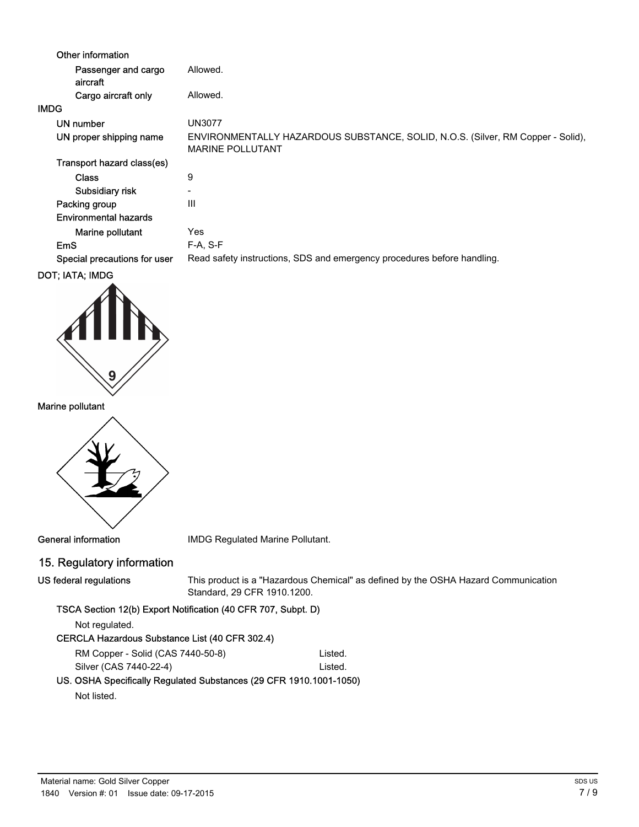| Other information               |                                                                                                            |
|---------------------------------|------------------------------------------------------------------------------------------------------------|
| Passenger and cargo<br>aircraft | Allowed.                                                                                                   |
| Cargo aircraft only             | Allowed.                                                                                                   |
| <b>IMDG</b>                     |                                                                                                            |
| UN number                       | <b>UN3077</b>                                                                                              |
| UN proper shipping name         | ENVIRONMENTALLY HAZARDOUS SUBSTANCE, SOLID, N.O.S. (Silver, RM Copper - Solid),<br><b>MARINE POLLUTANT</b> |
| Transport hazard class(es)      |                                                                                                            |
| <b>Class</b>                    | 9                                                                                                          |
| Subsidiary risk                 | $\overline{\phantom{0}}$                                                                                   |
| Packing group                   | Ш                                                                                                          |
| Environmental hazards           |                                                                                                            |
| Marine pollutant                | Yes                                                                                                        |
| EmS                             | $F-A, S-F$                                                                                                 |
| Special precautions for user    | Read safety instructions, SDS and emergency procedures before handling.                                    |
| <b>BAT. ILTL. ILIBA</b>         |                                                                                                            |



Marine pollutant



General information **IMDG** Regulated Marine Pollutant.

# 15. Regulatory information

US federal regulations

This product is a "Hazardous Chemical" as defined by the OSHA Hazard Communication Standard, 29 CFR 1910.1200.

## TSCA Section 12(b) Export Notification (40 CFR 707, Subpt. D)

Not regulated.

## CERCLA Hazardous Substance List (40 CFR 302.4)

RM Copper - Solid (CAS 7440-50-8) Listed. Silver (CAS 7440-22-4) Listed.

# US. OSHA Specifically Regulated Substances (29 CFR 1910.1001-1050)

Not listed.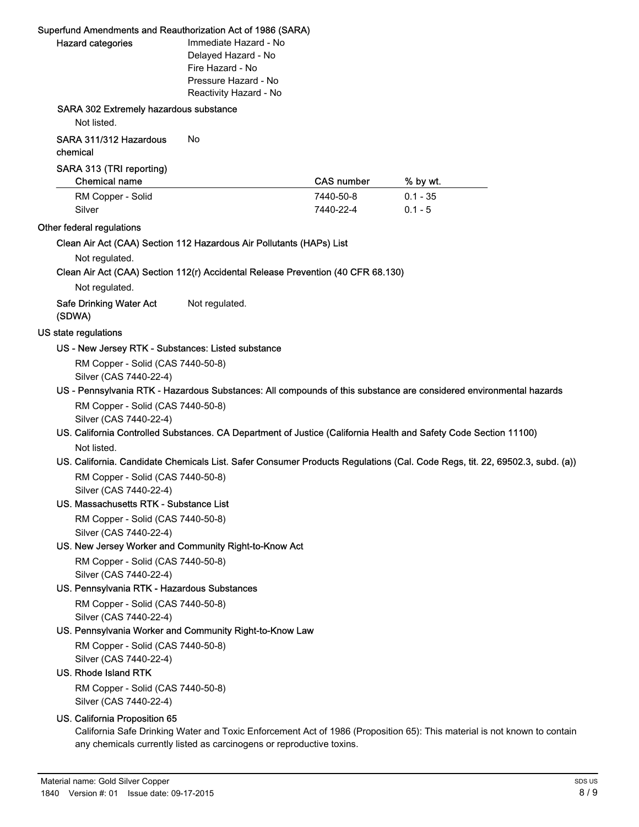## Superfund Amendments and Reauthorization Act of 1986 (SARA)

| <b>Hazard categories</b> |  |
|--------------------------|--|
|                          |  |

mmediate Hazard - No Delayed Hazard - No Fire Hazard - No Pressure Hazard - No Reactivity Hazard - No

## SARA 302 Extremely hazardous substance

Not listed.

## SARA 311/312 Hazardous No

chemical

#### SARA 313 (TRI reporting)

| Chemical name     | <b>CAS number</b> | % by wt.   |
|-------------------|-------------------|------------|
| RM Copper - Solid | 7440-50-8         | $0.1 - 35$ |
| Silver            | 7440-22-4         | $0.1 - 5$  |

#### Other federal regulations

#### Clean Air Act (CAA) Section 112 Hazardous Air Pollutants (HAPs) List

Not regulated.

Clean Air Act (CAA) Section 112(r) Accidental Release Prevention (40 CFR 68.130)

Not regulated.

## Safe Drinking Water Act Not regulated. (SDWA)

#### US state regulations

#### US - New Jersey RTK - Substances: Listed substance

RM Copper - Solid (CAS 7440-50-8) Silver (CAS 7440-22-4)

#### US - Pennsylvania RTK - Hazardous Substances: All compounds of this substance are considered environmental hazards

RM Copper - Solid (CAS 7440-50-8) Silver (CAS 7440-22-4)

## US. California Controlled Substances. CA Department of Justice (California Health and Safety Code Section 11100) Not listed.

## US. California. Candidate Chemicals List. Safer Consumer Products Regulations (Cal. Code Regs, tit. 22, 69502.3, subd. (a)) RM Copper - Solid (CAS 7440-50-8)

Silver (CAS 7440-22-4)

## US. Massachusetts RTK - Substance List

RM Copper - Solid (CAS 7440-50-8) Silver (CAS 7440-22-4)

## US. New Jersey Worker and Community Right-to-Know Act

RM Copper - Solid (CAS 7440-50-8) Silver (CAS 7440-22-4)

## US. Pennsylvania RTK - Hazardous Substances

RM Copper - Solid (CAS 7440-50-8) Silver (CAS 7440-22-4)

## US. Pennsylvania Worker and Community Right-to-Know Law

RM Copper - Solid (CAS 7440-50-8) Silver (CAS 7440-22-4)

## US. Rhode Island RTK

RM Copper - Solid (CAS 7440-50-8) Silver (CAS 7440-22-4)

## US. California Proposition 65

California Safe Drinking Water and Toxic Enforcement Act of 1986 (Proposition 65): This material is not known to contain any chemicals currently listed as carcinogens or reproductive toxins.